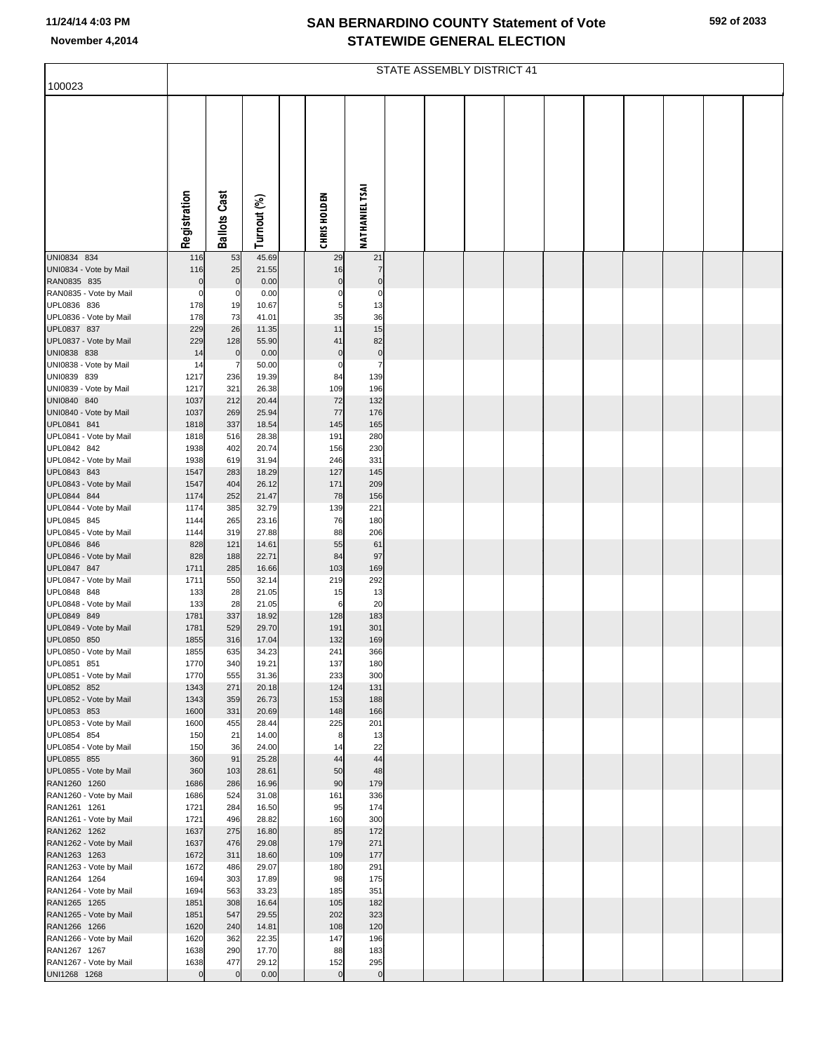## **SAN BERNARDINO COUNTY Statement of Vote November 4,2014 STATEWIDE GENERAL ELECTION**

| 100023                                 | STATE ASSEMBLY DISTRICT 41 |                     |                |  |                     |                       |  |  |  |  |  |  |  |  |  |  |
|----------------------------------------|----------------------------|---------------------|----------------|--|---------------------|-----------------------|--|--|--|--|--|--|--|--|--|--|
|                                        | Registration               | <b>Ballots Cast</b> | Turnout (%)    |  | <b>CHRIS HOLDEN</b> | <b>NATHANIEL TSAI</b> |  |  |  |  |  |  |  |  |  |  |
| UNI0834 834<br>UNI0834 - Vote by Mail  | 116<br>116                 | 53<br>25            | 45.69<br>21.55 |  | 29<br>16            | 21<br>$\overline{7}$  |  |  |  |  |  |  |  |  |  |  |
| RAN0835 835                            | $\mathbf 0$                | $\mathbf 0$         | 0.00           |  | $\mathbf 0$         | $\mathbf 0$           |  |  |  |  |  |  |  |  |  |  |
| RAN0835 - Vote by Mail                 | $\mathbf 0$                | 0                   | 0.00           |  | $\Omega$            | 0                     |  |  |  |  |  |  |  |  |  |  |
| UPL0836 836                            | 178                        | 19                  | 10.67          |  | 5                   | 13                    |  |  |  |  |  |  |  |  |  |  |
| UPL0836 - Vote by Mail<br>UPL0837 837  | 178<br>229                 | 73<br>26            | 41.01<br>11.35 |  | 35<br>11            | 36<br>15              |  |  |  |  |  |  |  |  |  |  |
| UPL0837 - Vote by Mail                 | 229                        | 128                 | 55.90          |  | 41                  | 82                    |  |  |  |  |  |  |  |  |  |  |
| UNI0838 838                            | 14                         | $\mathbf 0$         | 0.00           |  | $\mathbf 0$         | $\pmb{0}$             |  |  |  |  |  |  |  |  |  |  |
| UNI0838 - Vote by Mail                 | 14                         |                     | 50.00          |  | $\mathbf 0$         | $\overline{7}$        |  |  |  |  |  |  |  |  |  |  |
| UNI0839 839                            | 1217                       | 236                 | 19.39<br>26.38 |  | 84<br>109           | 139<br>196            |  |  |  |  |  |  |  |  |  |  |
| UNI0839 - Vote by Mail<br>UNI0840 840  | 1217<br>1037               | 321<br>212          | 20.44          |  | 72                  | 132                   |  |  |  |  |  |  |  |  |  |  |
| UNI0840 - Vote by Mail                 | 1037                       | 269                 | 25.94          |  | 77                  | 176                   |  |  |  |  |  |  |  |  |  |  |
| UPL0841 841                            | 1818                       | 337                 | 18.54          |  | 145                 | 165                   |  |  |  |  |  |  |  |  |  |  |
| UPL0841 - Vote by Mail                 | 1818                       | 516                 | 28.38          |  | 191                 | 280                   |  |  |  |  |  |  |  |  |  |  |
| UPL0842 842<br>UPL0842 - Vote by Mail  | 1938<br>1938               | 402<br>619          | 20.74<br>31.94 |  | 156<br>246          | 230<br>331            |  |  |  |  |  |  |  |  |  |  |
| UPL0843 843                            | 1547                       | 283                 | 18.29          |  | 127                 | 145                   |  |  |  |  |  |  |  |  |  |  |
| UPL0843 - Vote by Mail                 | 1547                       | 404                 | 26.12          |  | 171                 | 209                   |  |  |  |  |  |  |  |  |  |  |
| UPL0844 844                            | 1174                       | 252                 | 21.47          |  | 78                  | 156                   |  |  |  |  |  |  |  |  |  |  |
| UPL0844 - Vote by Mail<br>UPL0845 845  | 1174<br>1144               | 385<br>265          | 32.79<br>23.16 |  | 139<br>76           | 221                   |  |  |  |  |  |  |  |  |  |  |
| UPL0845 - Vote by Mail                 | 1144                       | 319                 | 27.88          |  | 88                  | 180<br>206            |  |  |  |  |  |  |  |  |  |  |
| UPL0846 846                            | 828                        | 121                 | 14.61          |  | 55                  | 61                    |  |  |  |  |  |  |  |  |  |  |
| UPL0846 - Vote by Mail                 | 828                        | 188                 | 22.71          |  | 84                  | 97                    |  |  |  |  |  |  |  |  |  |  |
| UPL0847 847                            | 1711                       | 285                 | 16.66          |  | 103                 | 169                   |  |  |  |  |  |  |  |  |  |  |
| UPL0847 - Vote by Mail<br>UPL0848 848  | 1711<br>133                | 550<br>28           | 32.14<br>21.05 |  | 219<br>15           | 292<br>13             |  |  |  |  |  |  |  |  |  |  |
| UPL0848 - Vote by Mail                 | 133                        | 28                  | 21.05          |  | 6                   | 20                    |  |  |  |  |  |  |  |  |  |  |
| UPL0849 849                            | 1781                       | 337                 | 18.92          |  | 128                 | 183                   |  |  |  |  |  |  |  |  |  |  |
| UPL0849 - Vote by Mail                 | 1781                       | 529                 | 29.70          |  | 191                 | 301                   |  |  |  |  |  |  |  |  |  |  |
| UPL0850 850<br>UPL0850 - Vote by Mail  | 1855<br>1855               | 316<br>635          | 17.04<br>34.23 |  | 132<br>241          | 169<br>366            |  |  |  |  |  |  |  |  |  |  |
| UPL0851 851                            | 1770                       | 340                 | 19.21          |  | 137                 | 180                   |  |  |  |  |  |  |  |  |  |  |
| UPL0851 - Vote by Mail                 | 1770                       | 555                 | 31.36          |  | 233                 | 300                   |  |  |  |  |  |  |  |  |  |  |
| UPL0852 852                            | 1343                       | 271                 | 20.18          |  | 124                 | 131                   |  |  |  |  |  |  |  |  |  |  |
| UPL0852 - Vote by Mail<br>UPL0853 853  | 1343<br>1600               | 359<br>331          | 26.73<br>20.69 |  | 153<br>148          | 188<br>166            |  |  |  |  |  |  |  |  |  |  |
| UPL0853 - Vote by Mail                 | 1600                       | 455                 | 28.44          |  | 225                 | 201                   |  |  |  |  |  |  |  |  |  |  |
| UPL0854 854                            | 150                        | 21                  | 14.00          |  | 8                   | 13                    |  |  |  |  |  |  |  |  |  |  |
| UPL0854 - Vote by Mail                 | 150                        | 36                  | 24.00          |  | 14                  | 22                    |  |  |  |  |  |  |  |  |  |  |
| UPL0855 855<br>UPL0855 - Vote by Mail  | 360<br>360                 | 91<br>103           | 25.28<br>28.61 |  | 44<br>50            | 44<br>48              |  |  |  |  |  |  |  |  |  |  |
| RAN1260 1260                           | 1686                       | 286                 | 16.96          |  | 90                  | 179                   |  |  |  |  |  |  |  |  |  |  |
| RAN1260 - Vote by Mail                 | 1686                       | 524                 | 31.08          |  | 161                 | 336                   |  |  |  |  |  |  |  |  |  |  |
| RAN1261 1261                           | 1721                       | 284                 | 16.50          |  | 95                  | 174                   |  |  |  |  |  |  |  |  |  |  |
| RAN1261 - Vote by Mail<br>RAN1262 1262 | 1721<br>1637               | 496<br>275          | 28.82<br>16.80 |  | 160<br>85           | 300<br>172            |  |  |  |  |  |  |  |  |  |  |
| RAN1262 - Vote by Mail                 | 1637                       | 476                 | 29.08          |  | 179                 | 271                   |  |  |  |  |  |  |  |  |  |  |
| RAN1263 1263                           | 1672                       | 311                 | 18.60          |  | 109                 | 177                   |  |  |  |  |  |  |  |  |  |  |
| RAN1263 - Vote by Mail                 | 1672                       | 486                 | 29.07          |  | 180                 | 291                   |  |  |  |  |  |  |  |  |  |  |
| RAN1264 1264                           | 1694                       | 303                 | 17.89          |  | 98                  | 175                   |  |  |  |  |  |  |  |  |  |  |
| RAN1264 - Vote by Mail<br>RAN1265 1265 | 1694<br>1851               | 563<br>308          | 33.23<br>16.64 |  | 185<br>105          | 351<br>182            |  |  |  |  |  |  |  |  |  |  |
| RAN1265 - Vote by Mail                 | 1851                       | 547                 | 29.55          |  | 202                 | 323                   |  |  |  |  |  |  |  |  |  |  |
| RAN1266 1266                           | 1620                       | 240                 | 14.81          |  | 108                 | 120                   |  |  |  |  |  |  |  |  |  |  |
| RAN1266 - Vote by Mail                 | 1620                       | 362                 | 22.35          |  | 147                 | 196                   |  |  |  |  |  |  |  |  |  |  |
| RAN1267 1267<br>RAN1267 - Vote by Mail | 1638<br>1638               | 290<br>477          | 17.70<br>29.12 |  | 88<br>152           | 183<br>295            |  |  |  |  |  |  |  |  |  |  |
| UNI1268 1268                           | $\mathbf 0$                | $\mathbf 0$         | 0.00           |  | $\mathbf 0$         | $\overline{0}$        |  |  |  |  |  |  |  |  |  |  |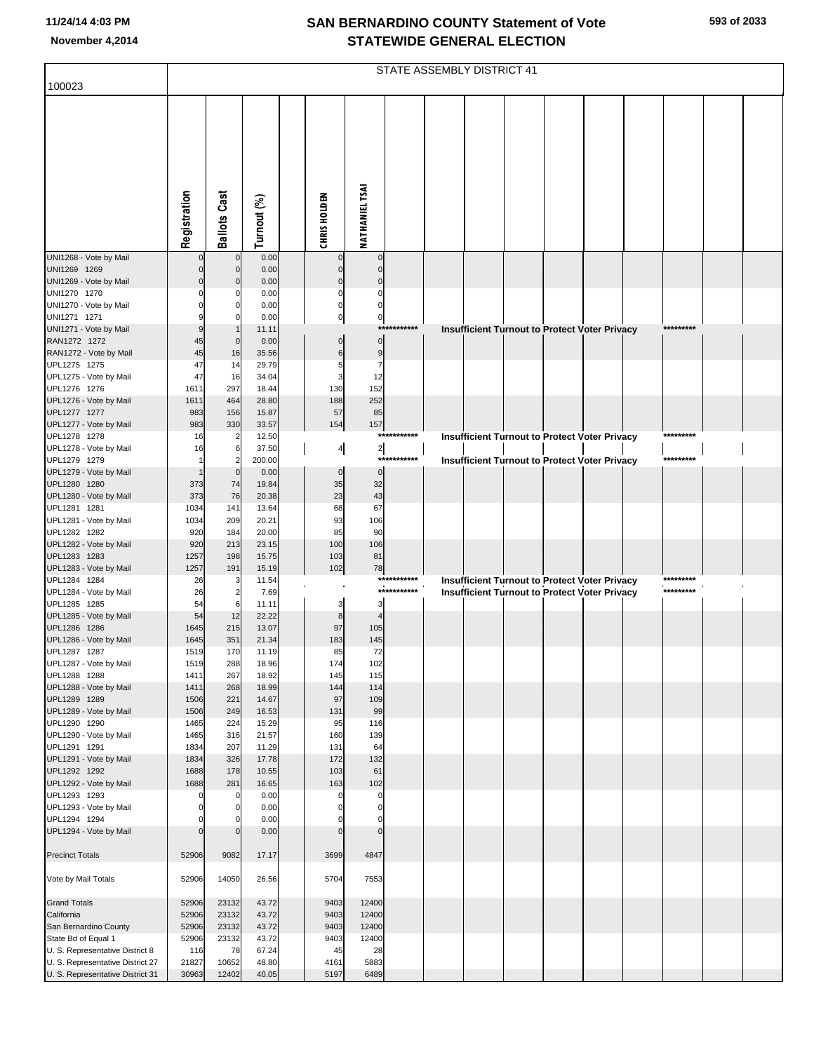## **SAN BERNARDINO COUNTY Statement of Vote November 4,2014 STATEWIDE GENERAL ELECTION**

|                                              | STATE ASSEMBLY DISTRICT 41 |                     |                |                     |                               |                 |  |                                                      |  |  |  |  |           |  |  |
|----------------------------------------------|----------------------------|---------------------|----------------|---------------------|-------------------------------|-----------------|--|------------------------------------------------------|--|--|--|--|-----------|--|--|
| 100023                                       |                            |                     |                |                     |                               |                 |  |                                                      |  |  |  |  |           |  |  |
|                                              | Registration               | <b>Ballots Cast</b> | Turnout (%)    | <b>CHRIS HOLDEN</b> | <b>NATHANIEL TSAI</b>         |                 |  |                                                      |  |  |  |  |           |  |  |
| UNI1268 - Vote by Mail                       |                            | $\mathbf 0$         | 0.00           |                     | $\mathbf 0$                   |                 |  |                                                      |  |  |  |  |           |  |  |
| UNI1269 1269                                 |                            | $\overline{0}$      | 0.00           |                     | $\Omega$                      |                 |  |                                                      |  |  |  |  |           |  |  |
| UNI1269 - Vote by Mail                       |                            | $\mathbf 0$         | 0.00           |                     |                               |                 |  |                                                      |  |  |  |  |           |  |  |
| UNI1270 1270<br>UNI1270 - Vote by Mail       |                            |                     | 0.00<br>0.00   |                     | $\Omega$<br>C                 |                 |  |                                                      |  |  |  |  |           |  |  |
| UNI1271 1271                                 |                            |                     | 0.00           |                     | 0<br>0                        |                 |  |                                                      |  |  |  |  |           |  |  |
| UNI1271 - Vote by Mail                       |                            |                     | 11.11          |                     |                               | ********<br>*** |  | <b>Insufficient Turnout to Protect Voter Privacy</b> |  |  |  |  | ********* |  |  |
| RAN1272 1272                                 | 45                         | $\mathbf 0$         | 0.00           |                     | $\mathbf 0$                   |                 |  |                                                      |  |  |  |  |           |  |  |
| RAN1272 - Vote by Mail<br>UPL1275 1275       | 45<br>47                   | 16<br>14            | 35.56<br>29.79 |                     | 9<br>$\overline{7}$           |                 |  |                                                      |  |  |  |  |           |  |  |
| UPL1275 - Vote by Mail                       | 47                         | 16                  | 34.04          |                     | 12<br>З                       |                 |  |                                                      |  |  |  |  |           |  |  |
| UPL1276 1276                                 | 1611                       | 297                 | 18.44          | 130                 | 152                           |                 |  |                                                      |  |  |  |  |           |  |  |
| UPL1276 - Vote by Mail                       | 1611                       | 464                 | 28.80          | 188                 | 252                           |                 |  |                                                      |  |  |  |  |           |  |  |
| UPL1277 1277<br>UPL1277 - Vote by Mail       | 983<br>983                 | 156<br>330          | 15.87<br>33.57 | 57<br>154           | 85<br>157                     |                 |  |                                                      |  |  |  |  |           |  |  |
| UPL1278 1278                                 | 16                         | $\overline{2}$      | 12.50          |                     |                               | ***********     |  | <b>Insufficient Turnout to Protect Voter Privacy</b> |  |  |  |  | ********* |  |  |
| UPL1278 - Vote by Mail                       | 16                         | 6                   | 37.50          |                     | $\overline{2}$<br>4           |                 |  |                                                      |  |  |  |  |           |  |  |
| UPL1279 1279                                 |                            |                     | 200.00         |                     |                               | *******<br>***  |  | <b>Insufficient Turnout to Protect Voter Privacy</b> |  |  |  |  | ********* |  |  |
| UPL1279 - Vote by Mail                       |                            | $\mathbf 0$         | 0.00           |                     | $\mathbf 0$<br>$\mathbf 0$    |                 |  |                                                      |  |  |  |  |           |  |  |
| UPL1280 1280<br>UPL1280 - Vote by Mail       | 373<br>373                 | 74<br>76            | 19.84<br>20.38 |                     | 35<br>32<br>23<br>43          |                 |  |                                                      |  |  |  |  |           |  |  |
| UPL1281 1281                                 | 1034                       | 141                 | 13.64          | 68                  | 67                            |                 |  |                                                      |  |  |  |  |           |  |  |
| UPL1281 - Vote by Mail                       | 1034                       | 209                 | 20.21          | 93                  | 106                           |                 |  |                                                      |  |  |  |  |           |  |  |
| UPL1282 1282                                 | 920                        | 184                 | 20.00          | 85                  | 90                            |                 |  |                                                      |  |  |  |  |           |  |  |
| UPL1282 - Vote by Mail<br>UPL1283 1283       | 920<br>1257                | 213<br>198          | 23.15<br>15.75 | 100<br>103          | 106<br>81                     |                 |  |                                                      |  |  |  |  |           |  |  |
| UPL1283 - Vote by Mail                       | 1257                       | 191                 | 15.19          | 102                 | 78                            |                 |  |                                                      |  |  |  |  |           |  |  |
| UPL1284 1284                                 | 26                         |                     | 11.54          |                     |                               | ***********     |  | <b>Insufficient Turnout to Protect Voter Privacy</b> |  |  |  |  | ********* |  |  |
| UPL1284 - Vote by Mail                       | 26                         | $\overline{2}$      | 7.69           |                     |                               | ***********     |  | <b>Insufficient Turnout to Protect Voter Privacy</b> |  |  |  |  | ********* |  |  |
| UPL1285 1285<br>UPL1285 - Vote by Mail       | 54<br>54                   | 6<br>12             | 11.11<br>22.22 |                     | 3<br>3<br>8<br>$\overline{4}$ |                 |  |                                                      |  |  |  |  |           |  |  |
| UPL1286 1286                                 | 1645                       | 215                 | 13.07          |                     | 97<br>105                     |                 |  |                                                      |  |  |  |  |           |  |  |
| UPL1286 - Vote by Mail                       | 1645                       | 351                 | 21.34          | 183                 | 145                           |                 |  |                                                      |  |  |  |  |           |  |  |
| UPL1287 1287                                 | 1519                       | 170                 | 11.19          | 85                  | 72                            |                 |  |                                                      |  |  |  |  |           |  |  |
| UPL1287 - Vote by Mail<br>UPL1288 1288       | 1519<br>1411               | 288<br>267          | 18.96<br>18.92 | 174<br>145          | 102<br>115                    |                 |  |                                                      |  |  |  |  |           |  |  |
| UPL1288 - Vote by Mail                       | 1411                       | 268                 | 18.99          | 144                 | 114                           |                 |  |                                                      |  |  |  |  |           |  |  |
| UPL1289 1289                                 | 1506                       | 221                 | 14.67          | 97                  | 109                           |                 |  |                                                      |  |  |  |  |           |  |  |
| UPL1289 - Vote by Mail                       | 1506                       | 249                 | 16.53          | 131                 | 99                            |                 |  |                                                      |  |  |  |  |           |  |  |
| UPL1290 1290<br>UPL1290 - Vote by Mail       | 1465<br>1465               | 224<br>316          | 15.29<br>21.57 | 95<br>160           | 116<br>139                    |                 |  |                                                      |  |  |  |  |           |  |  |
| UPL1291 1291                                 | 1834                       | 207                 | 11.29          | 131                 | 64                            |                 |  |                                                      |  |  |  |  |           |  |  |
| UPL1291 - Vote by Mail                       | 1834                       | 326                 | 17.78          | 172                 | 132                           |                 |  |                                                      |  |  |  |  |           |  |  |
| UPL1292 1292                                 | 1688                       | 178                 | 10.55          | 103                 | 61                            |                 |  |                                                      |  |  |  |  |           |  |  |
| UPL1292 - Vote by Mail<br>UPL1293 1293       | 1688                       | 281<br>$\mathbf 0$  | 16.65<br>0.00  | 163                 | 102<br>$\mathbf 0$<br>C       |                 |  |                                                      |  |  |  |  |           |  |  |
| UPL1293 - Vote by Mail                       | $\Omega$                   | $\Omega$            | 0.00           |                     | $\Omega$<br>C                 |                 |  |                                                      |  |  |  |  |           |  |  |
| UPL1294 1294                                 |                            | $\Omega$            | 0.00           |                     | 0                             |                 |  |                                                      |  |  |  |  |           |  |  |
| UPL1294 - Vote by Mail                       |                            |                     | 0.00           |                     | $\mathcal{C}$<br>$\Omega$     |                 |  |                                                      |  |  |  |  |           |  |  |
| <b>Precinct Totals</b>                       | 52906                      | 9082                | 17.17          | 3699                | 4847                          |                 |  |                                                      |  |  |  |  |           |  |  |
| Vote by Mail Totals                          | 52906                      | 14050               | 26.56          | 5704                | 7553                          |                 |  |                                                      |  |  |  |  |           |  |  |
| <b>Grand Totals</b>                          | 52906                      | 23132               | 43.72          | 9403                | 12400                         |                 |  |                                                      |  |  |  |  |           |  |  |
| California                                   | 52906                      | 23132               | 43.72          | 9403                | 12400                         |                 |  |                                                      |  |  |  |  |           |  |  |
| San Bernardino County<br>State Bd of Equal 1 | 52906<br>52906             | 23132<br>23132      | 43.72<br>43.72 | 9403<br>9403        | 12400<br>12400                |                 |  |                                                      |  |  |  |  |           |  |  |
| U. S. Representative District 8              | 116                        | 78                  | 67.24          | 45                  | 28                            |                 |  |                                                      |  |  |  |  |           |  |  |
| U. S. Representative District 27             | 21827                      | 10652               | 48.80          | 4161                | 5883                          |                 |  |                                                      |  |  |  |  |           |  |  |
| U. S. Representative District 31             | 30963                      | 12402               | 40.05          | 5197                | 6489                          |                 |  |                                                      |  |  |  |  |           |  |  |